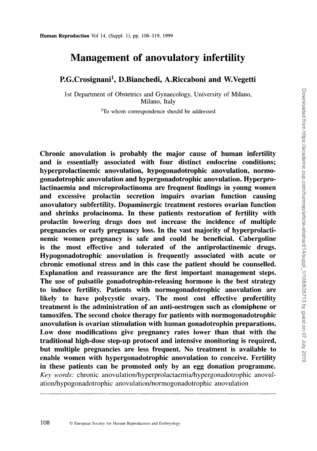# **Management of anovulatory infertility**

**P.G.Crosignani1 , D.Bianchedi, A.Riccaboni and W.Vegetti**

1st Department of Obstetrics and Gynaecology, University of Milano, Milano, Italy

<sup>1</sup>To whom correspondence should be addressed

Chronic anovulation is probably the major cause of human infertility and is essentially associated with four distinct endocrine conditions; hyperprolactinemic anovulation, hypogonadotrophic anovulation, normogonadotrophic anovulation and hypergonadotrophic anovulation. Hyperprolactinaemia and microprolactinoma are frequent findings in young women and excessive prolactin secretion impairs ovarian function causing anovulatory subfertility. Dopaminergic treatment restores ovarian function and shrinks prolacinoma. In these patients restoration of fertility with prolactin lowering drugs does not increase the incidence of multiple pregnancies or early pregnancy loss. In the vast majority of hyperprolactinemic women pregnancy is safe and could be beneficial. Cabergoline is the most effective and tolerated of the antiprolactinemic drugs. Hypogonadotrophic anovulation is frequently associated with acute or chronic emotional stress and in this case the patient should be counselled. Explanation and reassurance are the first important management steps. The use of pulsatile gonadotrophin-releasing hormone is the best strategy to induce fertility. Patients with normogonadotrophic anovulation are likely to have polycystic ovary. The most cost effective profertility treatment is the administration of an anti-oestrogen such as clomiphene or tamoxifen. The second choice therapy for patients with normogonadotrophic anovulation is ovarian stimulation with human gonadotrophin preparations. Low dose modifications give pregnancy rates lower than that with the traditional high-dose step-up protocol and intensive monitoring is required, but multiple pregnancies are less frequent. No treatment is available to enable women with hypergonadotrophic anovulation to conceive. Fertility in these patients can be promoted only by an egg donation programme. *Key words:* chronic anovulation/hyperprolactaemia/hypergonadotrophic anovulation/hypogonadotrophic anovulation/normogonadotrophic anovulation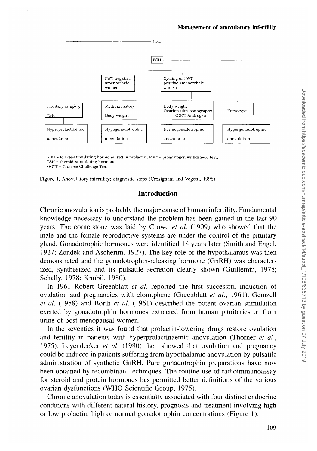

FSH = follicle-stimulating hormone; PRL = prolactin; PWT = progestogen withdrawal test; TSH = thyroid-stimulating hormone.

OGTT = Glucose Challenge Test.



### **Introduction**

Chronic anovulation is probably the major cause of human infertility. Fundamental knowledge necessary to understand the problem has been gained in the last 90 years. The cornerstone was laid by Crowe *et al.* (1909) who showed that the male and the female reproductive systems are under the control of the pituitary gland. Gonadotrophic hormones were identified 18 years later (Smith and Engel, 1927; Zondek and Ascherim, 1927). The key role of the hypothalamus was then demonstrated and the gonadotrophin-releasing hormone (GnRH) was characterized, synthesized and its pulsatile secretion clearly shown (Guillemin, 1978; Schally, 1978; Knobil, 1980).

In 1961 Robert Greenblatt *et al.* reported the first successful induction of ovulation and pregnancies with clomiphene (Greenblatt *et al.,* 1961). Gemzell *et al.* (1958) and Borth *et al.* (1961) described the potent ovarian stimulation exerted by gonadotrophin hormones extracted from human pituitaries or from urine of post-menopausal women.

In the seventies it was found that prolactin-lowering drugs restore ovulation and fertility in patients with hyperprolactinaemic anovulation (Thorner *et al.,* 1975). Leyendecker *et al.* (1980) then showed that ovulation and pregnancy could be induced in patients suffering from hypothalamic anovulation by pulsatile administration of synthetic GnRH. Pure gonadotrophin preparations have now been obtained by recombinant techniques. The routine use of radioimmunoassay for steroid and protein hormones has permitted better definitions of the various ovarian dysfunctions (WHO Scientific Group, 1975).

Chronic anovulation today is essentially associated with four distinct endocrine conditions with different natural history, prognosis and treatment involving high or low prolactin, high or normal gonadotrophin concentrations (Figure 1).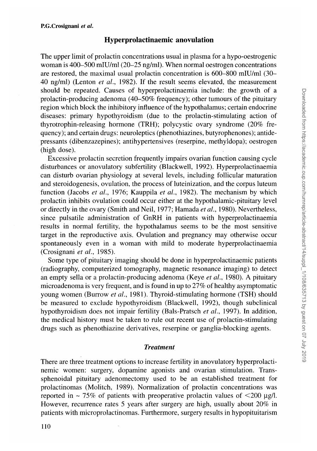### **Hyperprolactinaemic anovulation**

The upper limit of prolactin concentrations usual in plasma for a hypo-oestrogenic woman is 400-500 mlU/ml (20-25 ng/ml). When normal oestrogen concentrations are restored, the maximal usual prolactin concentration is 600-800 mlU/ml (30- 40 ng/ml) (Lenton *et al.,* 1982). If the result seems elevated, the measurement should be repeated. Causes of hyperprolactinaemia include: the growth of a prolactin-producing adenoma (40-50% frequency); other tumours of the pituitary region which block the inhibitory influence of the hypothalamus; certain endocrine diseases: primary hypothyroidism (due to the prolactin-stimulating action of thyrotrophin-releasing hormone (TRH); polycystic ovary syndrome (20% frequency); and certain drugs: neuroleptics (phenothiazines, butyrophenones); antidepressants (dibenzazepines); antihypertensives (reserpine, methyldopa); oestrogen (high dose).

Excessive prolactin secretion frequently impairs ovarian function causing cycle disturbances or anovulatory subfertility (Blackwell, 1992). Hyperprolactinaemia can disturb ovarian physiology at several levels, including follicular maturation and steroidogenesis, ovulation, the process of luteinization, and the corpus luteum function (Jacobs *et al.,* 1976; Kauppila *et al.,* 1982). The mechanism by which prolactin inhibits ovulation could occur either at the hypothalamic-pituitary level or directly in the ovary (Smith and Neil, 1977; Hamada *et al.,* 1980). Nevertheless, since pulsatile administration of GnRH in patients with hyperprolactinaemia results in normal fertility, the hypothalamus seems to be the most sensitive target in the reproductive axis. Ovulation and pregnancy may otherwise occur spontaneously even in a woman with mild to moderate hyperprolactinaemia (Crosignani *et al.,* 1985).

Some type of pituitary imaging should be done in hyperprolactinaemic patients (radiography, computerized tomography, magnetic resonance imaging) to detect an empty sella or a prolactin-producing adenoma (Keye *et al.,* 1980). A pituitary microadenoma is very frequent, and is found in up to 27% of healthy asymptomatic young women (Burrow *et al.,* 1981). Thyroid-stimulating hormone (TSH) should be measured to exclude hypothyroidism (Blackwell, 1992), though subclinical hypothyroidism does not impair fertility (Bals-Pratsch *et al,* 1997). In addition, the medical history must be taken to rule out recent use of prolactin-stimulating drugs such as phenothiazine derivatives, reserpine or ganglia-blocking agents.

#### *Treatment*

There are three treatment options to increase fertility in anovulatory hyperprolactinemic women: surgery, dopamine agonists and ovarian stimulation. Transsphenoidal pituitary adenomectomy used to be an established treatment for prolactinomas (Molitch, 1989). Normalization of prolactin concentrations was reported in  $\sim$  75% of patients with preoperative prolactin values of  $\leq$ 200 µg/l. However, recurrence rates 5 years after surgery are high, usually about 20% in patients with microprolactinomas. Furthermore, surgery results in hypopituitarism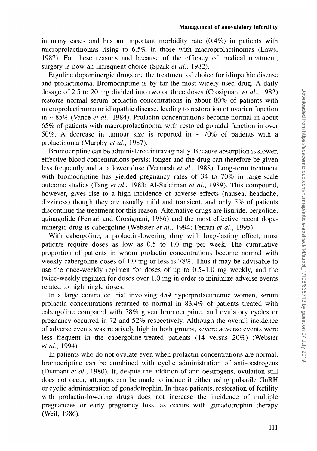#### Management of anovulatory infertility

in many cases and has an important morbidity rate (0.4%) in patients with microprolactinomas rising to 6.5% in those with macroprolactinomas (Laws, 1987). For these reasons and because of the efficacy of medical treatment, surgery is now an infrequent choice (Spark *et al.,* 1982).

Ergoline dopaminergic drugs are the treatment of choice for idiopathic disease and prolactinoma. Bromocriptine is by far the most widely used drug. A daily dosage of 2.5 to 20 mg divided into two or three doses (Crosignani *et al.,* 1982) restores normal serum prolactin concentrations in about 80% of patients with microprolactinoma or idiopathic disease, leading to restoration of ovarian fujnction in ~ 85% (Vance *et al.,* 1984). Prolactin concentrations become normal in about 65% of patients with macroprolactinoma, with restored gonadal function in over 50%. A decrease in tumour size is reported in  $\sim$  70% of patients with a prolactinoma (Murphy *et al.,* 1987).

Bromocriptine can be administered intravaginally. Because absorption is slower, effective blood concentrations persist longer and the drug can therefore be given less frequently and at a lower dose (Vermesh *et al.,* 1988). Long-term treatment with bromocriptine has yielded pregnancy rates of 34 to 70% in large-scale outcome studies (Tang *et al.,* 1983; Al-Suleiman *et al.,* 1989). This compound, however, gives rise to a high incidence of adverse effects (nausea, headache, dizziness) though they are usually mild and transient, and only 5% of patients discontinue the treatment for this reason. Alternative drugs are lisuride, pergolide, quinagolide (Ferrari and Crosignani, 1986) and the most effective recent dopaminergic drug is cabergoline (Webster *et al.,* 1994; Ferrari *et al.,* 1995).

With cabergoline, a prolactin-lowering drug with long-lasting effect, most patients require doses as low as 0.5 to 1.0 mg per week. The cumulative proportion of patients in whom prolactin concentrations become normal with weekly cabergoline doses of 1.0 mg or less is 78%. Thus it may be advisable to use the once-weekly regimen for doses of up to 0.5-1.0 mg weekly, and the twice-weekly regimen for doses over 1.0 mg in order to minimize adverse events related to high single doses.

In a large controlled trial involving 459 hyperprolactinemic women, serum prolactin concentrations returned to normal in 83.4% of patients treated with cabergoline compared with 58% given bromocriptine, and ovulatory cycles or pregnancy occurred in 72 and 52% respectively. Although the overall incidence of adverse events was relatively high in both groups, severe adverse events were less frequent in the cabergoline-treated patients (14 versus 20%) (Webster *et al.,* 1994).

In patients who do not ovulate even when prolactin concentrations are normal, bromocriptine can be combined with cyclic administration of anti-oestrogens (Diamant *et al.,* 1980). If, despite the addition of anti-oestrogens, ovulation still does not occur, attempts can be made to induce it either using pulsatile GnRH or cyclic administration of gonadotrophin. In these patients, restoration of fertility with prolactin-lowering drugs does not increase the incidence of multiple pregnancies or early pregnancy loss, as occurs with gonadotrophin therapy (Weil, 1986).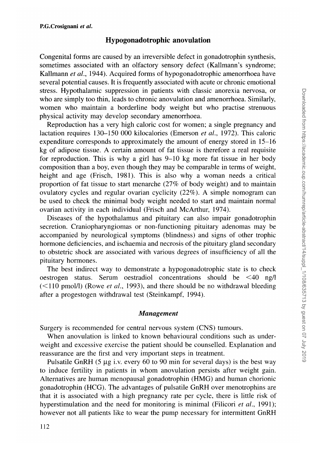### **Hypogonadotrophic anovulation**

Congenital forms are caused by an irreversible defect in gonadotrophin synthesis, sometimes associated with an olfactory sensory defect (Kallmann's syndrome; Kallmann *et al.,* 1944). Acquired forms of hypogonadotrophic amenorrhoea have several potential causes. It is frequently associated with acute or chronic emotional stress. Hypothalamic suppression in patients with classic anorexia nervosa, or who are simply too thin, leads to chronic anovulation and amenorrhoea. Similarly, women who maintain a borderline body weight but who practise strenuous physical activity may develop secondary amenorrhoea.

Reproduction has a very high caloric cost for women; a single pregnancy and lactation requires 130-150 000 kilocalories (Emerson *et al.,* 1972). This caloric expenditure corresponds to approximately the amount of energy stored in 15-16 kg of adipose tissue. A certain amount of fat tissue is therefore a real requisite for reproduction. This is why a girl has 9-10 kg more fat tissue in her body composition than a boy, even though they may be comparable in terms of weight, height and age (Frisch, 1981). This is also why a woman needs a critical proportion of fat tissue to start menarche (27% of body weight) and to maintain ovulatory cycles and regular ovarian cyclicity (22%). A simple nomogram can be used to check the minimal body weight needed to start and maintain normal ovarian activity in each individual (Frisch and McArthur, 1974).

Diseases of the hypothalamus and pituitary can also impair gonadotrophin secretion. Craniopharyngiomas or non-functioning pituitary adenomas may be accompanied by neurological symptoms (blindness) and signs of other trophic hormone deficiencies, and ischaemia and necrosis of the pituitary gland secondary to obstetric shock are associated with various degrees of insufficiency of all the pituitary hormones.

The best indirect way to demonstrate a hypogonadotrophic state is to check oestrogen status. Serum oestradiol concentrations should be <40 ng/1 (<110 pmol/1) (Rowe *et al.,* 1993), and there should be no withdrawal bleeding after a progestogen withdrawal test (Steinkampf, 1994).

#### *Management*

Surgery is recommended for central nervous system (CNS) tumours.

When anovulation is linked to known behavioural conditions such as underweight and excessive exercise the patient should be counselled. Explanation and reassurance are the first and very important steps in treatment.

Pulsatile GnRH  $(5 \mu g \text{ i.}v)$ . every 60 to 90 min for several days) is the best way to induce fertility in patients in whom anovulation persists after weight gain. Alternatives are human menopausal gonadotrophin (HMG) and human chorionic gonadotrophin (HCG). The advantages of pulsatile GnRH over menotrophins are that it is associated with a high pregnancy rate per cycle, there is little risk of hyperstimulation and the need for monitoring is minimal (Filicori *et al.,* 1991); however not all patients like to wear the pump necessary for intermittent GnRH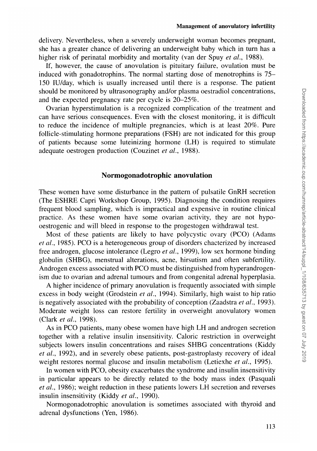delivery. Nevertheless, when a severely underweight woman becomes pregnant, she has a greater chance of delivering an underweight baby which in turn has a higher risk of perinatal morbidity and mortality (van der Spuy *et al.,* 1988).

If, however, the cause of anovulation is pituitary failure, ovulation must be induced with gonadotrophins. The normal starting dose of menotrophins is 75- 150 IU/day, which is usually increased until there is a response. The patient should be monitored by ultrasonography and/or plasma oestradiol concentrations, and the expected pregnancy rate per cycle is 20-25%.

Ovarian hyperstimulation is a recognized complication of the treatment and can have serious consequences. Even with the closest monitoring, it is difficult to reduce the incidence of multiple pregnancies, which is at least 20%. Pure follicle-stimulating hormone preparations (FSH) are not indicated for this group of patients because some luteinizing hormone (LH) is required to stimulate adequate oestrogen production (Couzinet *et al.,* 1988).

### **Normogonadotrophic anovulation**

These women have some disturbance in the pattern of pulsatile GnRH secretion (The ESHRE Capri Workshop Group, 1995). Diagnosing the condition requires frequent blood sampling, which is impractical and expensive in routine clinical practice. As these women have some ovarian activity, they are not hypooestrogenic and will bleed in response to the progestogen withdrawal test.

Most of these patients are likely to have polycystic ovary (PCO) (Adams *et al.,* 1985). PCO is a heterogeneous group of disorders chacterized by increased free androgen, glucose intolerance (Legro *et al.,* 1999), low sex hormone binding globulin (SHBG), menstrual alterations, acne, hirsutism and often subfertility. Androgen excess associated with PCO must be distinguished from hyperandrogenism due to ovarian and adrenal tumours and from congenital adrenal hyperplasia.

A higher incidence of primary anovulation is frequently associated with simple excess in body weight (Grodstein *et al.,* 1994). Similarly, high waist to hip ratio is negatively associated with the probability of conception (Zaadstra *et al.,* 1993). Moderate weight loss can restore fertility in overweight anovulatory women (Clark *et al,* 1998).

As in PCO patients, many obese women have high LH and androgen secretion together with a relative insulin insensitivity. Caloric restriction in overweight subjects lowers insulin concentrations and raises SHBG concentrations (Kiddy *et al.,* 1992), and in severely obese patients, post-gastroplasty recovery of ideal weight restores normal glucose and insulin metabolism (Letiexhe *et al.,* 1995).

In women with PCO, obesity exacerbates the syndrome and insulin insensitivity in particular appears to be directly related to the body mass index (Pasquali *et al.,* 1986); weight reduction in these patients lowers LH secretion and reverses insulin insensitivity (Kiddy *et al.,* 1990).

Normogonadotrophic anovulation is sometimes associated with thyroid and adrenal dysfunctions (Yen, 1986).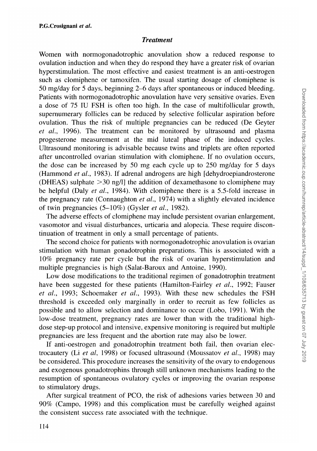### *Treatment*

Women with normogonadotrophic anovulation show a reduced response to ovulation induction and when they do respond they have a greater risk of ovarian hyperstimulation. The most effective and easiest treatment is an anti-oestrogen such as clomiphene or tamoxifen. The usual starting dosage of clomiphene is 50 mg/day for 5 days, beginning 2-6 days after spontaneous or induced bleeding. Patients with normogonadotrophic anovulation have very sensitive ovaries. Even a dose of 75 IU FSH is often too high. In the case of multifollicular growth, supernumerary follicles can be reduced by selective follicular aspiration before ovulation. Thus the risk of multiple pregnancies can be reduced (De Geyter *et al.,* 1996). The treatment can be monitored by ultrasound and plasma progesterone measurement at the mid luteal phase of the induced cycles. Ultrasound monitoring is advisable because twins and triplets are often reported after uncontrolled ovarian stimulation with clomiphene. If no ovulation occurs, the dose can be increased by 50 mg each cycle up to 250 mg/day for 5 days (Hammond *et al.,* 1983). If adrenal androgens are high [dehydroepiandrosterone (DHEAS) sulphate >30 ng/1] the addition of dexamethasone to clomiphene may be helpful (Daly *et al.,* 1984). With clomiphene there is a 5.5-fold increase in the pregnancy rate (Connaughton *et al.*, 1974) with a slightly elevated incidence of twin pregnancies (5-10%) (Gysler *et al,* 1982).

The adverse effects of clomiphene may include persistent ovarian enlargement, vasomotor and visual disturbances, urticaria and alopecia. These require discontinuation of treatment in only a small percentage of patients.

The second choice for patients with normogonadotrophic anovulation is ovarian stimulation with human gonadotrophin preparations. This is associated with a 10% pregnancy rate per cycle but the risk of ovarian hyperstimulation and multiple pregnancies is high (Salat-Baroux and Antoine, 1990).

Low dose modifications to the traditional regimen of gonadotrophin treatment have been suggested for these patients (Hamilton-Fairley *et al.,* 1992; Fauser *et al.,* 1993; Schoemaker *et al.,* 1993). With these new schedules the FSH threshold is exceeded only marginally in order to recruit as few follicles as possible and to allow selection and dominance to occur (Lobo, 1991). With the low-dose treatment, pregnancy rates are lower than with the traditional highdose step-up protocol and intensive, expensive monitoring is required but multiple pregnancies are less frequent and the abortion rate may also be lower.

If anti-oestrogen and gonadotrophin treatment both fail, then ovarian electrocautery (Li *et al,* 1998) or focused ultrasound (Moussatov *et al.,* 1998) may be considered. This procedure increases the sensitivity of the ovary to endogenous and exogenous gonadotrophins through still unknown mechanisms leading to the resumption of spontaneous ovulatory cycles or improving the ovarian response to stimulatory drugs.

After surgical treatment of PCO, the risk of adhesions varies between 30 and 90% (Campo, 1998) and this complication must be carefully weighed against the consistent success rate associated with the technique.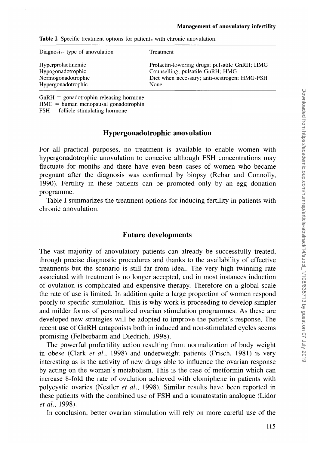| Diagnosis-type of anovulation | Treatment                                     |
|-------------------------------|-----------------------------------------------|
| Hyperprolactinemic            | Prolactin-lowering drugs; pulsatile GnRH; HMG |
| Hypogonadotrophic             | Counselling; pulsatile GnRH; HMG              |
| Normogonadotrophic            | Diet when necessary; anti-oestrogen; HMG-FSH  |
| Hypergonadotrophic            | None                                          |

**Table I.** Specific treatment options for patients with chronic anovulation.

 $GnRH = gonadotrophin-releasing hormone$ 

 $HMG = human menopausal gonadotrophin$ 

 $FSH =$  follicle-stimulating hormone

# **Hypergonadotrophic anovulation**

For all practical purposes, no treatment is available to enable women with hypergonadotrophic anovulation to conceive although FSH concentrations may fluctuate for months and there have even been cases of women who became pregnant after the diagnosis was confirmed by biopsy (Rebar and Connolly, 1990). Fertility in these patients can be promoted only by an egg donation programme.

Table I summarizes the treatment options for inducing fertility in patients with chronic anovulation.

## **Future developments**

The vast majority of anovulatory patients can already be successfully treated, through precise diagnostic procedures and thanks to the availability of effective treatments but the scenario is still far from ideal. The very high twinning rate associated with treatment is no longer accepted, and in most instances induction of ovulation is complicated and expensive therapy. Therefore on a global scale the rate of use is limited. In addition quite a large proportion of women respond poorly to specific stimulation. This is why work is proceeding to develop simpler and milder forms of personalized ovarian stimulation programmes. As these are developed new strategies will be adopted to improve the patient's response. The recent use of GnRH antagonists both in induced and non-stimulated cycles seems promising (Felberbaum and Diedrich, 1998).

The powerful profertility action resulting from normalization of body weight in obese (Clark *et al.,* 1998) and underweight patients (Frisch, 1981) is very interesting as is the activity of new drugs able to influence the ovarian response by acting on the woman's metabolism. This is the case of metformin which can increase 8-fold the rate of ovulation achieved with clomiphene in patients with polycystic ovaries (Nestler *et al.,* 1998). Similar results have been reported in these patients with the combined use of FSH and a somatostatin analogue (Lidor *et al,* 1998).

In conclusion, better ovarian stimulation will rely on more careful use of the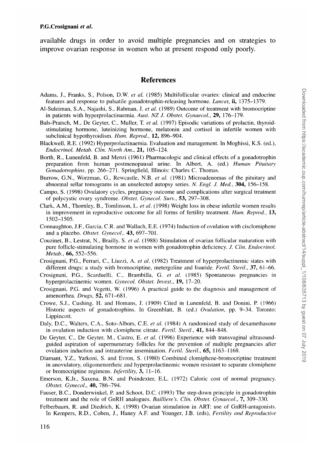#### **P.G.Crosignani** *et al.*

available drugs in order to avoid multiple pregnancies and on strategies to improve ovarian response in women who at present respond only poorly.

#### **References**

- Adams, J., Franks, S., Poison, D.W. *et al.* (1985) Multifollicular ovaries: clinical and endocrine features and response to pulsatile gonadotrophin-releasing hormone. *Lancet,* **ii,** 1375-1379.
- Al-Suleiman, S.A., Najashi, S., Rahman, J. *et al.* (1989) Outcome of treatment with bromocriptine in patients with hyperprolactinaemia. *Aust. NZ J. Obstet. Gynaecol,* 29, 176-179.
- Bals-Pratsch, M., De Geyter, C, Muller, T. *et al.* (1997) Episodic variations of prolactin, thyroidstimulating hormone, luteinizing hormone, melatonin and cortisol in infertile women with subclinical hypothyroidism. *Hum. Reprod.,* 12, 896-904.
- Blackwell, R.E. (1992) Hyperprolactinaemia. Evaluation and management. In Moghissi, K.S. (ed.), *Endocrinol. Metab. Clin. North Am.,* 21, 105-124.
- Borth, R., Lunenfeld, B. and Menzi (1961) Pharmacologic and clinical effects of a gonadotrophin preparation from human postmenopausal urine. In Albert, A. (ed.) *Human Pituitary Gonadotrophins,* pp. 266-271. Springfield, Illinois: Charles C. Thomas.
- Burrow, G.N., Worzman, G., Rewcastle, N.B. *et al.* (1981) Microadenomas of the pituitary and abnormal sellar tomograms in an unselected autopsy series. *N. Engl. J. Med.,* **304,** 156-158.
- Campo, S. (1998) Ovulatory cycles, pregnancy outcome and complications after surgical treatment of polycystic ovary syndrome. *Obstet. Gynecol. Surv.,* 53, 297-308.
- Clark, A.M., Thornley, B., Tomlinson, L. *et al.* (1998) Weight loss in obese infertile women results in improvement in reproductive outcome for all forms of fertility treatment. *Hum. Reprod.,* 13, 1502-1505.
- Connaughton, J.F., Garcia, C.R. and Wallach, E.E. (1974) Induction of ovulation with cisclomiphene and a placebo. *Obstet. Gynecol,* **43,** 697-701.
- Couzinet, B., Lestrat, N., Brailly, S. *et al.* (1988) Stimulation of ovarian follicular maturation with pure follicle-stimulating hormone in women with gonadotrophin deficiency. *J. Clin. Endocrinol. Metab.*, **66**, 552–556. *Metab.*, **66,** 552–550.
- Crosignani, P.G., Ferrari, C, Liuzzi, A. *et al.* (1982) Treatment of hyperprolactinemic states with different drugs: a study with bromocriptine, metergoline and lisuride. *Fertil. Steril.,* 37, 61-66.
- Crosignani, P.G., Scarduelli, C, Brambilla, G. *et al.* (1985) Spontaneous pregnancies in hyperprolactinemic women. *Gynecol. Obstet. Invest.,* 19, 17-20.
- Crosignani, P.G. and Vegetti, W. (1996) A practical guide to the diagnosis and management of amenorrhea. *Drugs,* 52, 671-681.
- Crowe, S.J., Cushing, H. and Homans, J. (1909) Cited in Lunenfeld, B. and Donini, P. (1966) Historic aspects of gonadotrophins. In Greenblatt, B. (ed.) *Ovulation,* pp. 9-34. Toronto: Lippincott.
- Daly, D.C., Walters, C.A., Soto-Albors, C.E. *et al.* (1984) A randomized study of dexamethasone in ovulation induction with clomiphene citrate. *Fertil. Steril.,* 41, 844-848.
- De Geyter, C, De Geyter, M., Castro, E. *et al.* (1996) Experience with transvaginal ultrasoundguided aspiration of supernumerary follicles for the prevention of multiple pregnancies after ovulation induction and intrauterine insemination. *Fertil. Steril.,* 65, 1163-1168.
- Diamant,  $Y_\text{c}$ , Yarkoni, S. and Evron, S. (1980) Combined clomiphene-bromocriptine treatment in anovulatory, originatoric and hyperprolactinemic women resistant to separate clomiphene or bromocriptine regimens. *Infertility,* 3, 11-16.
- Emerson, K.Jr., Saxena, B.N. and Poindexter, E.L. (1972) Caloric cost of normal pregnancy. *Obstet. Gynecol,* **40,** 786-794.
- Fauser, B.C., Donderwinkel, P. and Schoot, D.C. (1993) The step-down principle in gonadotrophin treatment and the role of GnRH analogues. *Bailliere's. Clin. Obstet. Gynaecol,* 7, 309-330.
- Felberbaum, R. and Diedrich, K. (1998) Ovarian stimulation in ART: use of GnRH-antagonists. In Kempers, R.D., Cohen, J., Haney A.F. and Younger, J.B. (eds), *Fertility and Reproductive*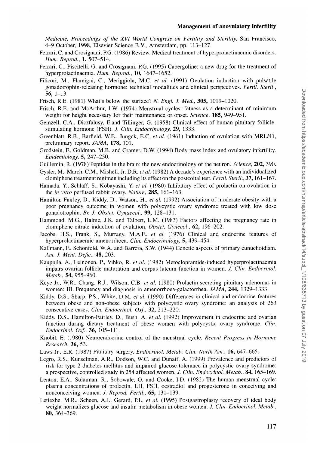#### **Management of anovulatory infertility**

*Medicine, Proceedings of the XVI World Congress on Fertility and Sterility,* San Francisco, 4-9 October, 1998, Elsevier Science B.V., Amsterdam, pp. 113-127.

- Ferrari, C. and Crosignani, P.G. (1986) Review. Medical treatment of hyperprolactinaemic disorders. *Hum. Reprod.,* 1, 507-514.
- Ferrari, C, Piscitelli, G. and Crosignani, P.G. (1995) Cabergoline: a new drug for the treatment of hyperprolactinaemia. *Hum. Reprod.,* **10,** 1647-1652.
- Filicori, M., Flamigni, C, Meriggiola, M.C. *et al.* (1991) Ovulation induction with pulsatile gonadotrophin-releasing hormone: technical modalities and clinical perspectives. *Fertil. Steril.,* 56.  $1-13$ .
- Frisch, R.E. (1981) What's below the surface? *N. Engl. J. Med.,* 305, 1019-1020,
- Frisch, R.E. and McArthur, J.W. (1974) Menstrual cycles: fatness as a determinant of minimum weight for height necessary for their maintenance or onset. *Science,* **185,** 949-951.
- Gemzell, C.A., Diczfalusy, E.and Tillinger, G. (1958) Clinical effect of human pituitary folliclestimulating hormone (FSH). *J. Clin. Endocrinology, 29,* 1333.
- Greenblatt, R.B., Barfield, W.E., Jungck, E.C. *et al.* (1961) Induction of ovulation with MRL/41, preliminary report. *JAMA,* **178,** 101.
- Grodstein, F., Goldman, M.B. and Cramer, D.W. (1994) Body mass index and ovulatory infertility. *Epidemiology,* 5, 247-250.
- Guillemin, R. (1978) Peptides in the brain: the new endocrinology of the neuron. *Science,* **202,** 390.
- Gysler, M., March, CM., Mishell, Jr. D.R. *et al.* (1982) A decade's experience with an individualized clomiphene treatment regimen including its effect on the postcoital test. *Fertil. Steril.,* 37,161-167.
- Hamada, Y., Schlaff, S., Kobayashi, Y. *et al.* (1980) Inhibitory effect of prolactin on ovulation in the *in vitro* perfused rabbit ovary. *Nature,* **285,** 161-163.
- Hamilton Fairley, D., Kiddy, D., Watson, H., *et al.* (1992) Association of moderate obesity with a poor pregnancy outcome in women with polycystic ovary syndrome treated with low dose gonadotrophin. *Br. J. Obstet. Gynaecol,* 99, 128-131.
- Hammond, M.G., Halme, J.K. and Talbert, L.M. (1983) Factors affecting the pregnancy rate in clomiphene citrate induction of ovulation. *Obstet. Gynecol.,* 62, 196-202.
- Jacobs, H.S., Frank, S., Murragy, M.A.F., *et al.* (1976) Clinical and endocrine features of hyperprolactinaemic amenorrhoea. *Clin. Endocrinology,* 5, 439-454.
- Kallmann, F., Schonfeld, W.A. and Barrera, S.W. (1944) Genetic aspects of primary eunuchoidism. *Am. J. Ment. Defic,* **48,** 203.
- Kauppila, A., Leinonen, P., Vihko, R. *et al.* (1982) Metoclopramide-induced hyperprolactinaemia impairs ovarian follicle maturation and corpus luteum function in women. *J. Clin. Endocrinol. Metab.,* **54,** 955-960.
- Keye Jr., W.R., Chang, R.J., Wilson, C.B. *et al.* (1980) Prolactin-secreting pituitary adenomas in women: III. Frequency and diagnosis in amenorrhoea-galactorrhea. *JAMA,* **244,** 1329-1333.
- Kiddy, D.S., Sharp, P.S., White, D.M. *et al.* (1990) Differences in clinical and endocrine features between obese and non-obese subjects with polycystic ovary syndrome: an analysis of 263 consecutive cases. *Clin. Endocrinol. Oxf.,* 32, 213-220.
- Kiddy, D.S., Hamilton-Fairley, D., Bush, A. *et al.* (1992) Improvement in endocrine and ovarian function during dietary treatment of obese women with polycystic ovary syndrome. *Clin. Endocrinol. Oxf.,* 36, 105-111.
- Knobil, E. (1980) Neuroendocrine control of the menstrual cycle. *Recent Progress in Hormone Research,* 36, 53.
- Laws Jr., E.R. (1987) Pituitary surgery. *Endocrinol. Metab. Clin. North Am.,* 16, 647-665.
- Legro, R.S., Kunselman, A.R., Dodson, W.C. and Dunaif, A. (1999) Prevalence and predictors of risk for type 2 diabetes mellitus and impaired glucose tolerance in polycystic ovary syndrome: a prospective, controlled study in 254 affected women. *J. Clin. Endocrinol. Metab.,* **84,** 165-169.
- Lenton, E.A., Sulaiman, R., Sobowale, O, and Cooke, I.D. (1982) The human menstrual cycle: plasma concentrations of prolactin, LH, FSH, oestradiol and progesterone in conceiving and nonconceiving women. *J. Reprod. Fertil.*, **65**, 131–139.<br>Letiexhe, M.R., Scheen, A.J., Gerard, P.L. *et al.* (1995) Postgastroplasty recovery of ideal body
- Letterhe, M.R., Scheen, A.J., Schem, P.L., et al. (1999) Postgastroplasty recovery of our body recovery of  $\Gamma$ weight normalizes glucose and insulin metabolism in obese women. *J. Clin. Endocrinol. Metab.,* **80,** 364-369.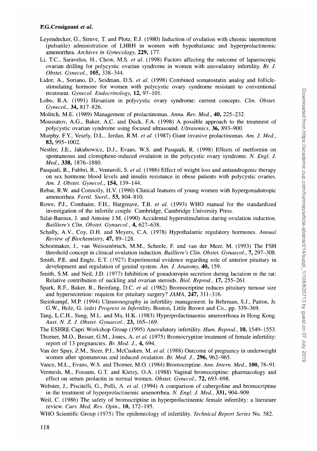#### **P.G.Crosignani** *et al.*

- Leyendecker, G., Struve, T. and Plotz, E.J. (1980) Induction of ovulation with chronic intermittent (pulsatile) administration of LHRH in women with hypothalamic and hyperprolactinemic amenorrhea. *Archives in Gynecology,* **229,** 177.
- Li, T.C., Saravelos, H., Chow, M.S. *et al.* (1998) Factors affecting the outcome of laparoscopic ovarian drilling for polycystic ovarian syndrome in women with anovulatory infertility. *Br. J. Obstet. Gynecol,* **105,** 338-344.
- Lidor, A., Soriano, D., Seidman, D.S. *et al.* (1998) Combined somatostatin analog and folliclestimulating hormone for women with polycystic ovary syndrome resistant to conventional treatment. *Gynecol. Endocrinology,* **12,** 97-101.
- Lobo, R.A. (1991) Hirsutism in polycystic ovary syndrome: current concepts. *Clin. Obstet. Gynecol,* 34, 817-826.
- Molitch, M.E. (1989) Management of prolactinomas. *Anna. Rev. Med.,* **40,** 225-232.
- Moussatov, A.G., Baker, A.C. and Duck, F.A. (1998) A possible approach to the treatment of polycystic ovarian syndrome using focused ultrasound. *Ultrasonics,* 36, 893-900.
- Murphy, F.Y., Vesely, D.L., Jerdan, R.M. *et al.* (1987) Giant invasive prolactinomas. *Am. J. Med.,* 83, 995-1002.
- Nestler, J.E., Jakubowicz, D.J., Evans, W.S. and Pasquali, R. (1998) Effects of metformin on spontaneous and clomiphene-induced ovulation in the polycystic ovary syndrome. *N. Engl. J. Med.,* 338, 1876-1880.
- Pasquali, R., Fabbri, R., Venturoli, S. *et al.* (1986) Effect of weight loss and antiandrogenic therapy on sex hormone blood levels and insulin resistance in obese patients with polycystic ovaries. *Am. J. Obstet. Gynecol,* **154,** 139-144.
- Rebar, R.W. and Connolly, H.V. (1990) Clinical features of young women with hypergonadotropic amenorrhea. *Fertil Steril.,* 53, 804-810.
- Rowe, P.J., Comhaire, F.H., Hargreave, T.B. *et al.* (1993) WHO manual for the standardized investigation of the infertile couple. Cambridge, Cambridge University Press.
- Salat-Baroux, J. and Antoine J.M. (1990) Accidental hyperstimulation during ovulation induction. *Bailliere's Clin. Obstet. Gynaecol.,* 4, 627-638.
- Schally, A.V., Coy, D.H. and Meyers, C.A. (1978) Hypothalamic regulatory hormones. *Annual Review of Biochemistry,* **47,** 89-128.
- Schoemaker, J., van Weissenbruch, M.M., Scheele, F. and van der Meer, M. (1993) The FSH threshold concept in clinical ovulation induction. *Bailliere's Clin. Obstet. Gynaecol,* 7, 297-308.
- Smith, P.E. and Engle, E.T. (1927) Experimental evidence regarding role of anterior pituitary in development and regulation of genital system. *Am. J. Anatomy,* **40,** 159.
- Smith, S.M. and Neil, J.D. (1977) Inhibition of gonadotropin secretion during lactation in the rat: Relative contribution of suckling and ovarian steroids. *Biol Reprod.,* **17,** 255-261.
- Spark, R.F., Baker, R., Beinfang, D.C. *et al.* (1982) Bromocriptine reduces pituitary tumour size and hypersecretion: requiem for pituitary surgery? *JAMA,* **247,** 311-316.
- Steinkampf, M.P. (1994) Ultrasonography in infertility management. In Behrman, S.J., Patton, Jr. G.W., Holz, G. (eds) *Progress in Infertility.* Boston, Little Brown and Co., pp. 339-369.
- Tang, L.C.H., Sung, M.L. and Ma, H.K. (1983) Hyperprolactinaemic amenorrhoea in Hong Kong. *Aust. N. Z. J. Obstet. Gynaecol,* 23, 165-169.
- The ESHRE Capri Workshop Group (1995) Anovulatory infertility. *Hum. Reprod.,* **10,** 1549-1553.
- Thorner, M.O., Besser, G.M., Jones, A. *et al.* (1975) Bromocryptine treatment of female infertility: report of 13 pregnancies. *Br. Med. J.,* 4, 694.
- Van der Spuy, Z.M., Steer, P.J., McCusken, M. *et al.* (1988) Outcome of pregnancy in underweight women after spontaneous and induced ovulation. *Br. Med. J.,* **296,** 962-965.
- Vance, M.L., Evans, W.S. and Thorner, M.O. (1984) Bromocriptine. *Ann. Intern. Med.,* **100,** 78-91.
- Vermesh, M., Fossum, G.T. and Kletzy, O.A. (1988) Vaginal bromocriptine: pharmacology and effect on serum prolactin in normal women. *Obstet. Gynecol,* **72,** 693-698.
- Webster, J., Piscitelli, G., Polli, A. *et al.* (1994) A comparison of cabergoline and bromocriptine in the treatment of hyperprolactinemic amenorrhea. *N. Engl. J. Med.,* 331, 904-909.
- Weil, C. (1986) The safety of bromocriptine in hyperprolactinemic female infertility: a literature review. *Curr. Med. Res. Opin.,* **10,** 172-195.
- WHO Scientific Group (1975) The epidemiology of infertility. *Technical Report Series* No. 582.